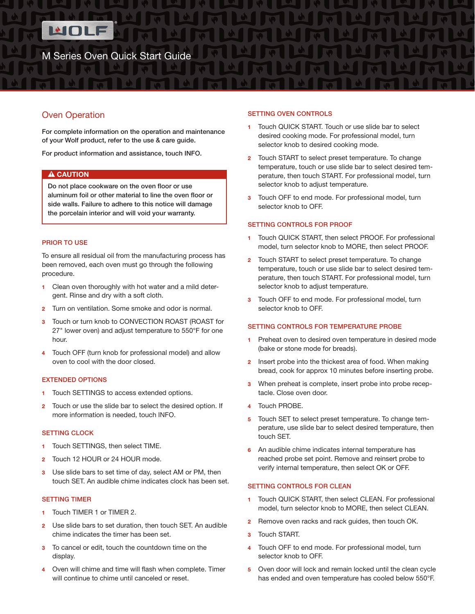

# Oven Operation

For complete information on the operation and maintenance of your Wolf product, refer to the use & care guide.

For product information and assistance, touch INFO.

# A CAUTION

Do not place cookware on the oven floor or use aluminum foil or other material to line the oven floor or side walls. Failure to adhere to this notice will damage the porcelain interior and will void your warranty.

# PRIOR TO USE

To ensure all residual oil from the manufacturing process has been removed, each oven must go through the following procedure.

- 1 Clean oven thoroughly with hot water and a mild detergent. Rinse and dry with a soft cloth.
- 2 Turn on ventilation. Some smoke and odor is normal.
- Touch or turn knob to CONVECTION ROAST (ROAST for 27" lower oven) and adjust temperature to 550°F for one hour.
- 4 Touch OFF (turn knob for professional model) and allow oven to cool with the door closed.

# EXTENDED OPTIONS

- 1 Touch SETTINGS to access extended options.
- 2 Touch or use the slide bar to select the desired option. If more information is needed, touch INFO.

## SETTING CLOCK

- 1 Touch SETTINGS, then select TIME.
- 2 Touch 12 HOUR or 24 HOUR mode.
- 3 Use slide bars to set time of day, select AM or PM, then touch SET. An audible chime indicates clock has been set.

#### SETTING TIMER

- 1 Touch TIMER 1 or TIMER 2.
- 2 Use slide bars to set duration, then touch SET. An audible chime indicates the timer has been set.
- 3 To cancel or edit, touch the countdown time on the display.
- 4 Oven will chime and time will flash when complete. Timer will continue to chime until canceled or reset.

## SETTING OVEN CONTROLS

- Touch QUICK START. Touch or use slide bar to select desired cooking mode. For professional model, turn selector knob to desired cooking mode.
- 2 Touch START to select preset temperature. To change temperature, touch or use slide bar to select desired temperature, then touch START. For professional model, turn selector knob to adjust temperature.
- 3 Touch OFF to end mode. For professional model, turn selector knob to OFF.

# SETTING CONTROLS FOR PROOF

- 1 Touch QUICK START, then select PROOF. For professional model, turn selector knob to MORE, then select PROOF.
- 2 Touch START to select preset temperature. To change temperature, touch or use slide bar to select desired temperature, then touch START. For professional model, turn selector knob to adjust temperature.
- 3 Touch OFF to end mode. For professional model, turn selector knob to OFF.

## SETTING CONTROLS FOR TEMPERATURE PROBE

- 1 Preheat oven to desired oven temperature in desired mode (bake or stone mode for breads).
- 2 Insert probe into the thickest area of food. When making bread, cook for approx 10 minutes before inserting probe.
- 3 When preheat is complete, insert probe into probe receptacle. Close oven door.
- 4 Touch PROBE.
- 5 Touch SET to select preset temperature. To change temperature, use slide bar to select desired temperature, then touch SET.
- 6 An audible chime indicates internal temperature has reached probe set point. Remove and reinsert probe to verify internal temperature, then select OK or OFF.

# SETTING CONTROLS FOR CLEAN

- 1 Touch QUICK START, then select CLEAN. For professional model, turn selector knob to MORE, then select CLEAN.
- **2** Remove oven racks and rack guides, then touch OK.
- 3 Touch START.
- 4 Touch OFF to end mode. For professional model, turn selector knob to OFF.
- 5 Oven door will lock and remain locked until the clean cycle has ended and oven temperature has cooled below 550°F.